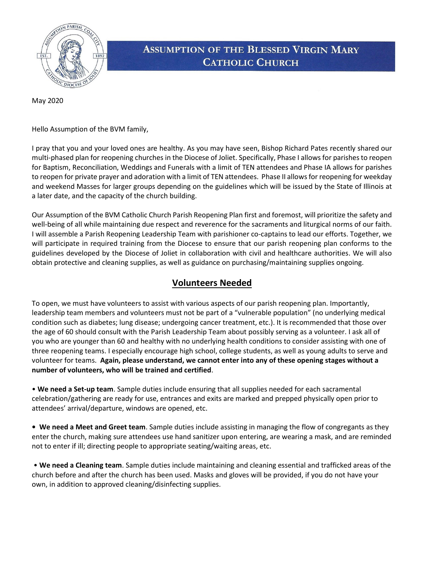

## **ASSUMPTION OF THE BLESSED VIRGIN MARY CATHOLIC CHURCH**

May 2020

Hello Assumption of the BVM family,

I pray that you and your loved ones are healthy. As you may have seen, Bishop Richard Pates recently shared our multi-phased plan for reopening churches in the Diocese of Joliet. Specifically, Phase I allows for parishes to reopen for Baptism, Reconciliation, Weddings and Funerals with a limit of TEN attendees and Phase IA allows for parishes to reopen for private prayer and adoration with a limit of TEN attendees. Phase II allows for reopening for weekday and weekend Masses for larger groups depending on the guidelines which will be issued by the State of Illinois at a later date, and the capacity of the church building.

Our Assumption of the BVM Catholic Church Parish Reopening Plan first and foremost, will prioritize the safety and well-being of all while maintaining due respect and reverence for the sacraments and liturgical norms of our faith. I will assemble a Parish Reopening Leadership Team with parishioner co-captains to lead our efforts. Together, we will participate in required training from the Diocese to ensure that our parish reopening plan conforms to the guidelines developed by the Diocese of Joliet in collaboration with civil and healthcare authorities. We will also obtain protective and cleaning supplies, as well as guidance on purchasing/maintaining supplies ongoing.

## Volunteers Needed

To open, we must have volunteers to assist with various aspects of our parish reopening plan. Importantly, leadership team members and volunteers must not be part of a "vulnerable population" (no underlying medical condition such as diabetes; lung disease; undergoing cancer treatment, etc.). It is recommended that those over the age of 60 should consult with the Parish Leadership Team about possibly serving as a volunteer. I ask all of you who are younger than 60 and healthy with no underlying health conditions to consider assisting with one of three reopening teams. I especially encourage high school, college students, as well as young adults to serve and volunteer for teams. Again, please understand, we cannot enter into any of these opening stages without a number of volunteers, who will be trained and certified.

• We need a Set-up team. Sample duties include ensuring that all supplies needed for each sacramental celebration/gathering are ready for use, entrances and exits are marked and prepped physically open prior to attendees' arrival/departure, windows are opened, etc.

• We need a Meet and Greet team. Sample duties include assisting in managing the flow of congregants as they enter the church, making sure attendees use hand sanitizer upon entering, are wearing a mask, and are reminded not to enter if ill; directing people to appropriate seating/waiting areas, etc.

 • We need a Cleaning team. Sample duties include maintaining and cleaning essential and trafficked areas of the church before and after the church has been used. Masks and gloves will be provided, if you do not have your own, in addition to approved cleaning/disinfecting supplies.